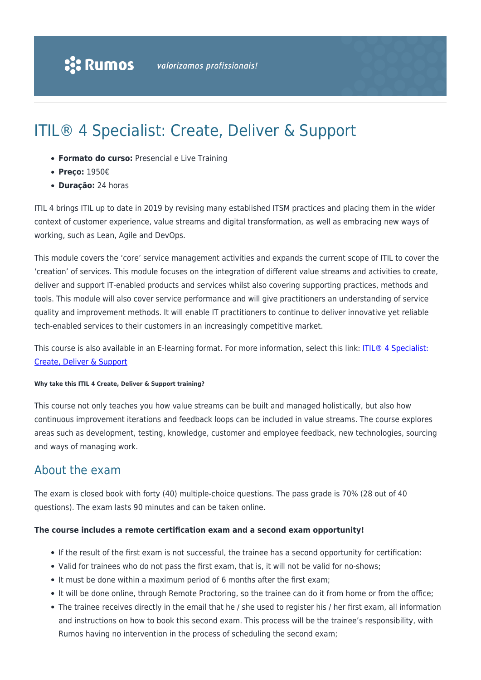# ITIL® 4 Specialist: Create, Deliver & Support

- **Formato do curso:** Presencial e Live Training
- **Preço:** 1950€
- **Duração:** 24 horas

ITIL 4 brings ITIL up to date in 2019 by revising many established ITSM practices and placing them in the wider context of customer experience, value streams and digital transformation, as well as embracing new ways of working, such as Lean, Agile and DevOps.

This module covers the 'core' service management activities and expands the current scope of ITIL to cover the 'creation' of services. This module focuses on the integration of different value streams and activities to create, deliver and support IT-enabled products and services whilst also covering supporting practices, methods and tools. This module will also cover service performance and will give practitioners an understanding of service quality and improvement methods. It will enable IT practitioners to continue to deliver innovative yet reliable tech-enabled services to their customers in an increasingly competitive market.

This course is also available in an E-learning format. For more information, select this link: [ITIL® 4 Specialist:](https://rumos.pt/curso/itil-4-specialist-create-deliver-support-e-learning) [Create, Deliver & Support](https://rumos.pt/curso/itil-4-specialist-create-deliver-support-e-learning)

#### **Why take this ITIL 4 Create, Deliver & Support training?**

This course not only teaches you how value streams can be built and managed holistically, but also how continuous improvement iterations and feedback loops can be included in value streams. The course explores areas such as development, testing, knowledge, customer and employee feedback, new technologies, sourcing and ways of managing work.

#### About the exam

The exam is closed book with forty (40) multiple-choice questions. The pass grade is 70% (28 out of 40 questions). The exam lasts 90 minutes and can be taken online.

#### **The course includes a remote certification exam and a second exam opportunity!**

- If the result of the first exam is not successful, the trainee has a second opportunity for certification:
- Valid for trainees who do not pass the first exam, that is, it will not be valid for no-shows;
- It must be done within a maximum period of 6 months after the first exam;
- It will be done online, through Remote Proctoring, so the trainee can do it from home or from the office;
- The trainee receives directly in the email that he / she used to register his / her first exam, all information and instructions on how to book this second exam. This process will be the trainee's responsibility, with Rumos having no intervention in the process of scheduling the second exam;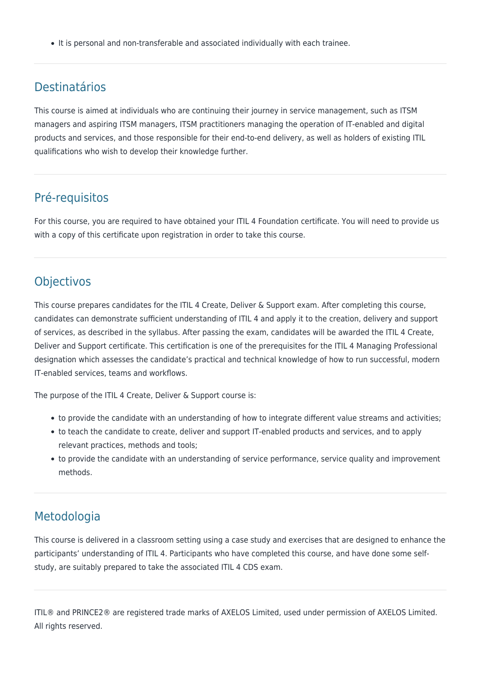It is personal and non-transferable and associated individually with each trainee.

### Destinatários

This course is aimed at individuals who are continuing their journey in service management, such as ITSM managers and aspiring ITSM managers, ITSM practitioners managing the operation of IT-enabled and digital products and services, and those responsible for their end-to-end delivery, as well as holders of existing ITIL qualifications who wish to develop their knowledge further.

## Pré-requisitos

For this course, you are required to have obtained your ITIL 4 Foundation certificate. You will need to provide us with a copy of this certificate upon registration in order to take this course.

### **Objectivos**

This course prepares candidates for the ITIL 4 Create, Deliver & Support exam. After completing this course, candidates can demonstrate sufficient understanding of ITIL 4 and apply it to the creation, delivery and support of services, as described in the syllabus. After passing the exam, candidates will be awarded the ITIL 4 Create, Deliver and Support certificate. This certification is one of the prerequisites for the ITIL 4 Managing Professional designation which assesses the candidate's practical and technical knowledge of how to run successful, modern IT-enabled services, teams and workflows.

The purpose of the ITIL 4 Create, Deliver & Support course is:

- to provide the candidate with an understanding of how to integrate different value streams and activities;
- to teach the candidate to create, deliver and support IT-enabled products and services, and to apply relevant practices, methods and tools;
- to provide the candidate with an understanding of service performance, service quality and improvement methods.

### Metodologia

This course is delivered in a classroom setting using a case study and exercises that are designed to enhance the participants' understanding of ITIL 4. Participants who have completed this course, and have done some selfstudy, are suitably prepared to take the associated ITIL 4 CDS exam.

ITIL® and PRINCE2® are registered trade marks of AXELOS Limited, used under permission of AXELOS Limited. All rights reserved.